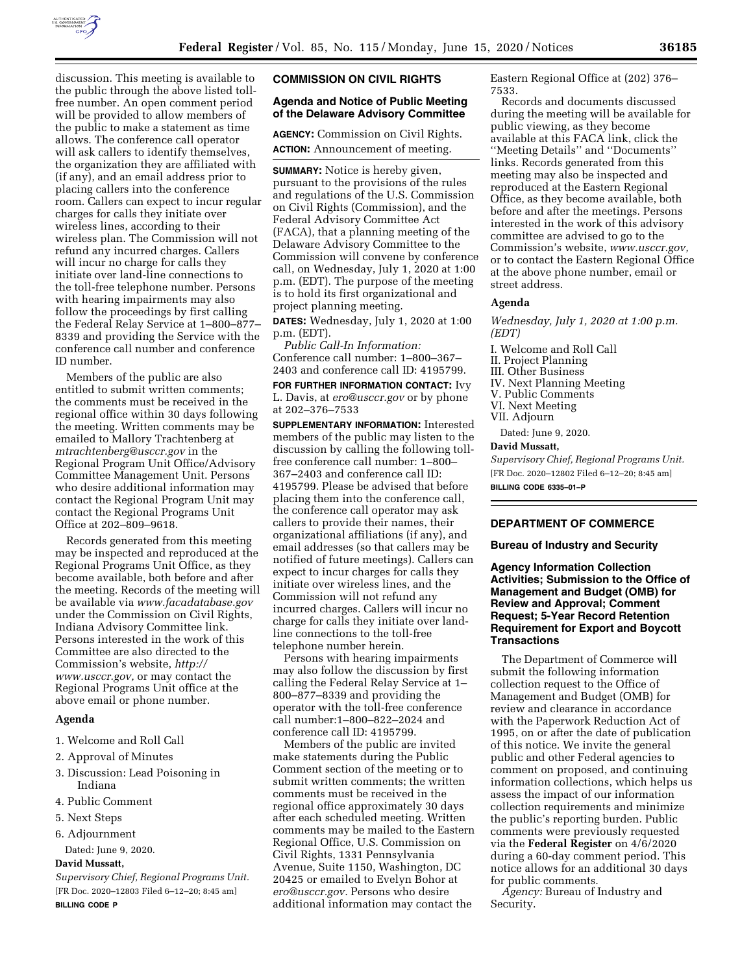

discussion. This meeting is available to the public through the above listed tollfree number. An open comment period will be provided to allow members of the public to make a statement as time allows. The conference call operator will ask callers to identify themselves, the organization they are affiliated with (if any), and an email address prior to placing callers into the conference room. Callers can expect to incur regular charges for calls they initiate over wireless lines, according to their wireless plan. The Commission will not refund any incurred charges. Callers will incur no charge for calls they initiate over land-line connections to the toll-free telephone number. Persons with hearing impairments may also follow the proceedings by first calling the Federal Relay Service at 1–800–877– 8339 and providing the Service with the conference call number and conference ID number.

Members of the public are also entitled to submit written comments; the comments must be received in the regional office within 30 days following the meeting. Written comments may be emailed to Mallory Trachtenberg at *[mtrachtenberg@usccr.gov](mailto:mtrachtenberg@usccr.gov)* in the Regional Program Unit Office/Advisory Committee Management Unit. Persons who desire additional information may contact the Regional Program Unit may contact the Regional Programs Unit Office at 202–809–9618.

Records generated from this meeting may be inspected and reproduced at the Regional Programs Unit Office, as they become available, both before and after the meeting. Records of the meeting will be available via *[www.facadatabase.gov](http://www.facadatabase.gov)*  under the Commission on Civil Rights, Indiana Advisory Committee link. Persons interested in the work of this Committee are also directed to the Commission's website, *[http://](http://www.usccr.gov) [www.usccr.gov,](http://www.usccr.gov)* or may contact the Regional Programs Unit office at the above email or phone number.

# **Agenda**

- 1. Welcome and Roll Call
- 2. Approval of Minutes
- 3. Discussion: Lead Poisoning in Indiana
- 4. Public Comment
- 5. Next Steps
- 6. Adjournment
- Dated: June 9, 2020.

# **David Mussatt,**

*Supervisory Chief, Regional Programs Unit.*  [FR Doc. 2020–12803 Filed 6–12–20; 8:45 am] **BILLING CODE P** 

#### **COMMISSION ON CIVIL RIGHTS**

### **Agenda and Notice of Public Meeting of the Delaware Advisory Committee**

**AGENCY:** Commission on Civil Rights. **ACTION:** Announcement of meeting.

**SUMMARY:** Notice is hereby given, pursuant to the provisions of the rules and regulations of the U.S. Commission on Civil Rights (Commission), and the Federal Advisory Committee Act (FACA), that a planning meeting of the Delaware Advisory Committee to the Commission will convene by conference call, on Wednesday, July 1, 2020 at 1:00 p.m. (EDT). The purpose of the meeting is to hold its first organizational and project planning meeting.

**DATES:** Wednesday, July 1, 2020 at 1:00 p.m. (EDT).

*Public Call-In Information:*  Conference call number: 1–800–367– 2403 and conference call ID: 4195799.

**FOR FURTHER INFORMATION CONTACT:** Ivy L. Davis, at *[ero@usccr.gov](mailto:ero@usccr.gov)* or by phone at 202–376–7533

**SUPPLEMENTARY INFORMATION:** Interested members of the public may listen to the discussion by calling the following tollfree conference call number: 1–800– 367–2403 and conference call ID: 4195799. Please be advised that before placing them into the conference call, the conference call operator may ask callers to provide their names, their organizational affiliations (if any), and email addresses (so that callers may be notified of future meetings). Callers can expect to incur charges for calls they initiate over wireless lines, and the Commission will not refund any incurred charges. Callers will incur no charge for calls they initiate over landline connections to the toll-free telephone number herein.

Persons with hearing impairments may also follow the discussion by first calling the Federal Relay Service at 1– 800–877–8339 and providing the operator with the toll-free conference call number:1–800–822–2024 and conference call ID: 4195799.

Members of the public are invited make statements during the Public Comment section of the meeting or to submit written comments; the written comments must be received in the regional office approximately 30 days after each scheduled meeting. Written comments may be mailed to the Eastern Regional Office, U.S. Commission on Civil Rights, 1331 Pennsylvania Avenue, Suite 1150, Washington, DC 20425 or emailed to Evelyn Bohor at *[ero@usccr.gov.](mailto:ero@usccr.gov)* Persons who desire additional information may contact the

Eastern Regional Office at (202) 376– 7533.

Records and documents discussed during the meeting will be available for public viewing, as they become available at this FACA link, click the ''Meeting Details'' and ''Documents'' links. Records generated from this meeting may also be inspected and reproduced at the Eastern Regional Office, as they become available, both before and after the meetings. Persons interested in the work of this advisory committee are advised to go to the Commission's website, *[www.usccr.gov,](http://www.usccr.gov)*  or to contact the Eastern Regional Office at the above phone number, email or street address.

# **Agenda**

*Wednesday, July 1, 2020 at 1:00 p.m. (EDT)* 

I. Welcome and Roll Call II. Project Planning III. Other Business IV. Next Planning Meeting V. Public Comments VI. Next Meeting VII. Adjourn

Dated: June 9, 2020.

## **David Mussatt,**

*Supervisory Chief, Regional Programs Unit.*  [FR Doc. 2020–12802 Filed 6–12–20; 8:45 am] **BILLING CODE 6335–01–P** 

## **DEPARTMENT OF COMMERCE**

**Bureau of Industry and Security** 

**Agency Information Collection Activities; Submission to the Office of Management and Budget (OMB) for Review and Approval; Comment Request; 5-Year Record Retention Requirement for Export and Boycott Transactions** 

The Department of Commerce will submit the following information collection request to the Office of Management and Budget (OMB) for review and clearance in accordance with the Paperwork Reduction Act of 1995, on or after the date of publication of this notice. We invite the general public and other Federal agencies to comment on proposed, and continuing information collections, which helps us assess the impact of our information collection requirements and minimize the public's reporting burden. Public comments were previously requested via the **Federal Register** on 4/6/2020 during a 60-day comment period. This notice allows for an additional 30 days for public comments.

*Agency:* Bureau of Industry and Security.